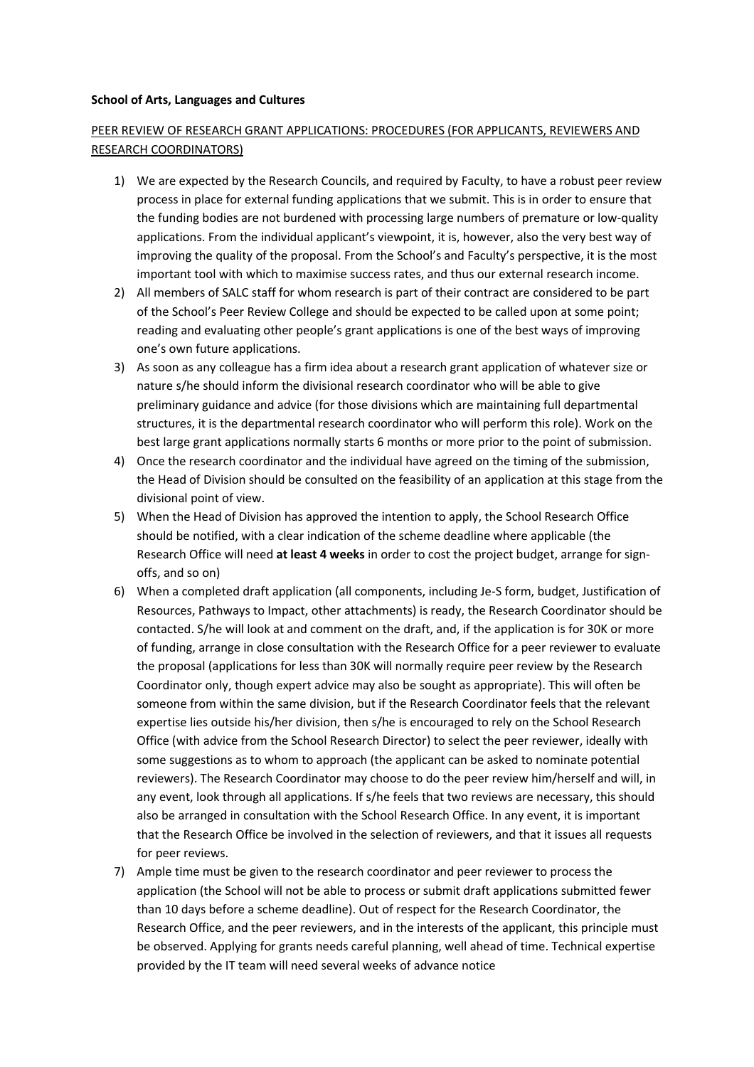## School of Arts, Languages and Cultures

## PEER REVIEW OF RESEARCH GRANT APPLICATIONS: PROCEDURES (FOR APPLICANTS, REVIEWERS AND RESEARCH COORDINATORS)

- 1) We are expected by the Research Councils, and required by Faculty, to have a robust peer review process in place for external funding applications that we submit. This is in order to ensure that the funding bodies are not burdened with processing large numbers of premature or low-quality applications. From the individual applicant's viewpoint, it is, however, also the very best way of improving the quality of the proposal. From the School's and Faculty's perspective, it is the most important tool with which to maximise success rates, and thus our external research income.
- 2) All members of SALC staff for whom research is part of their contract are considered to be part of the School's Peer Review College and should be expected to be called upon at some point; reading and evaluating other people's grant applications is one of the best ways of improving one's own future applications.
- 3) As soon as any colleague has a firm idea about a research grant application of whatever size or nature s/he should inform the divisional research coordinator who will be able to give preliminary guidance and advice (for those divisions which are maintaining full departmental structures, it is the departmental research coordinator who will perform this role). Work on the best large grant applications normally starts 6 months or more prior to the point of submission.
- 4) Once the research coordinator and the individual have agreed on the timing of the submission, the Head of Division should be consulted on the feasibility of an application at this stage from the divisional point of view.
- 5) When the Head of Division has approved the intention to apply, the School Research Office should be notified, with a clear indication of the scheme deadline where applicable (the Research Office will need at least 4 weeks in order to cost the project budget, arrange for signoffs, and so on)
- 6) When a completed draft application (all components, including Je-S form, budget, Justification of Resources, Pathways to Impact, other attachments) is ready, the Research Coordinator should be contacted. S/he will look at and comment on the draft, and, if the application is for 30K or more of funding, arrange in close consultation with the Research Office for a peer reviewer to evaluate the proposal (applications for less than 30K will normally require peer review by the Research Coordinator only, though expert advice may also be sought as appropriate). This will often be someone from within the same division, but if the Research Coordinator feels that the relevant expertise lies outside his/her division, then s/he is encouraged to rely on the School Research Office (with advice from the School Research Director) to select the peer reviewer, ideally with some suggestions as to whom to approach (the applicant can be asked to nominate potential reviewers). The Research Coordinator may choose to do the peer review him/herself and will, in any event, look through all applications. If s/he feels that two reviews are necessary, this should also be arranged in consultation with the School Research Office. In any event, it is important that the Research Office be involved in the selection of reviewers, and that it issues all requests for peer reviews.
- 7) Ample time must be given to the research coordinator and peer reviewer to process the application (the School will not be able to process or submit draft applications submitted fewer than 10 days before a scheme deadline). Out of respect for the Research Coordinator, the Research Office, and the peer reviewers, and in the interests of the applicant, this principle must be observed. Applying for grants needs careful planning, well ahead of time. Technical expertise provided by the IT team will need several weeks of advance notice